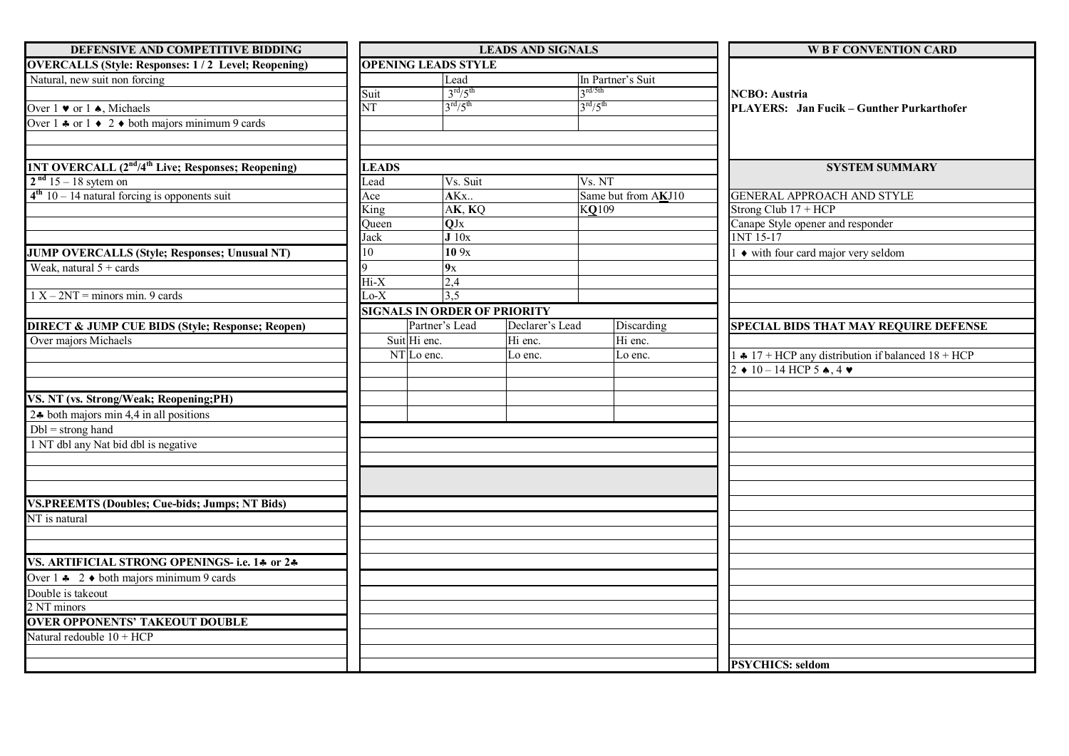| DEFENSIVE AND COMPETITIVE BIDDING                                                                        |              |                                     | <b>LEADS AND SIGNALS</b> |                                  | <b>W B F CONVENTION CARD</b>                                 |  |
|----------------------------------------------------------------------------------------------------------|--------------|-------------------------------------|--------------------------|----------------------------------|--------------------------------------------------------------|--|
| <b>OVERCALLS (Style: Responses: 1/2 Level; Reopening)</b>                                                |              | <b>OPENING LEADS STYLE</b>          |                          |                                  |                                                              |  |
| Natural, new suit non forcing                                                                            |              | Lead                                |                          | In Partner's Suit                |                                                              |  |
|                                                                                                          | Suit         | 3 <sup>rd</sup> /5 <sup>th</sup>    |                          | $2^{\text{rd}/5\text{th}}$       | <b>NCBO</b> : Austria                                        |  |
| Over $1 \bullet$ or $1 \bullet$ , Michaels                                                               | NT           | 3 <sup>rd</sup> /5 <sup>th</sup>    |                          | 3 <sup>rd</sup> /5 <sup>th</sup> | PLAYERS: Jan Fucik – Gunther Purkarthofer                    |  |
| Over $1 * or 1 * 2 * both majors minimum 9 cards$                                                        |              |                                     |                          |                                  |                                                              |  |
|                                                                                                          |              |                                     |                          |                                  |                                                              |  |
|                                                                                                          |              |                                     |                          |                                  |                                                              |  |
| <b>1NT OVERCALL (2<sup>nd</sup>/4<sup>th</sup> Live; Responses; Reopening)</b><br>$2nd 15 - 18$ sytem on | <b>LEADS</b> |                                     |                          |                                  | <b>SYSTEM SUMMARY</b>                                        |  |
| $4th 10 - 14$ natural forcing is opponents suit                                                          | Lead<br>Ace  | Vs. Suit<br>AKx                     |                          | Vs. NT<br>Same but from AKJ10    | <b>GENERAL APPROACH AND STYLE</b>                            |  |
|                                                                                                          | King         | AK, KQ                              |                          | KQ109                            | Strong Club 17 + HCP                                         |  |
|                                                                                                          | Queen        | QJx                                 |                          |                                  | Canape Style opener and responder                            |  |
|                                                                                                          | Jack         | J10x                                |                          |                                  | <b>INT 15-17</b>                                             |  |
| <b>JUMP OVERCALLS (Style; Responses; Unusual NT)</b>                                                     | 10           | 10.9x                               |                          |                                  | $\bullet$ with four card major very seldom                   |  |
| Weak, natural $5 + \text{cards}$                                                                         |              | 9x                                  |                          |                                  |                                                              |  |
|                                                                                                          | $Hi-X$       | 2,4                                 |                          |                                  |                                                              |  |
| $1 X - 2NT =$ minors min. 9 cards                                                                        | $Lo-X$       | $\overline{3,5}$                    |                          |                                  |                                                              |  |
|                                                                                                          |              | <b>SIGNALS IN ORDER OF PRIORITY</b> |                          |                                  |                                                              |  |
| <b>DIRECT &amp; JUMP CUE BIDS (Style; Response; Reopen)</b>                                              |              | Partner's Lead                      | Declarer's Lead          | Discarding                       | <b>SPECIAL BIDS THAT MAY REQUIRE DEFENSE</b>                 |  |
| Over majors Michaels                                                                                     |              | Suit Hi enc.                        | Hi enc.                  | Hi enc.                          |                                                              |  |
|                                                                                                          |              | $\overline{\text{NT}}$ Lo enc.      | Lo enc.                  | Lo enc.                          | $\div$ 17 + HCP any distribution if balanced 18 + HCP        |  |
|                                                                                                          |              |                                     |                          |                                  | $2 \div 10 - 14$ HCP 5 $\spadesuit$ , 4 $\blacktriangledown$ |  |
|                                                                                                          |              |                                     |                          |                                  |                                                              |  |
| VS. NT (vs. Strong/Weak; Reopening;PH)                                                                   |              |                                     |                          |                                  |                                                              |  |
| 2.4 both majors min 4,4 in all positions                                                                 |              |                                     |                          |                                  |                                                              |  |
| $Dbl =$ strong hand                                                                                      |              |                                     |                          |                                  |                                                              |  |
| 1 NT dbl any Nat bid dbl is negative                                                                     |              |                                     |                          |                                  |                                                              |  |
|                                                                                                          |              |                                     |                          |                                  |                                                              |  |
|                                                                                                          |              |                                     |                          |                                  |                                                              |  |
|                                                                                                          |              |                                     |                          |                                  |                                                              |  |
| <b>VS.PREEMTS (Doubles; Cue-bids; Jumps; NT Bids)</b>                                                    |              |                                     |                          |                                  |                                                              |  |
| NT is natural                                                                                            |              |                                     |                          |                                  |                                                              |  |
|                                                                                                          |              |                                     |                          |                                  |                                                              |  |
|                                                                                                          |              |                                     |                          |                                  |                                                              |  |
| VS. ARTIFICIAL STRONG OPENINGS- i.e. 14 or 24                                                            |              |                                     |                          |                                  |                                                              |  |
| Over $1 \div 2 \div 2$ both majors minimum 9 cards                                                       |              |                                     |                          |                                  |                                                              |  |
| Double is takeout                                                                                        |              |                                     |                          |                                  |                                                              |  |
| 2 NT minors                                                                                              |              |                                     |                          |                                  |                                                              |  |
| <b>OVER OPPONENTS' TAKEOUT DOUBLE</b>                                                                    |              |                                     |                          |                                  |                                                              |  |
| Natural redouble $10 + HCP$                                                                              |              |                                     |                          |                                  |                                                              |  |
|                                                                                                          |              |                                     |                          |                                  |                                                              |  |
|                                                                                                          |              |                                     |                          |                                  | <b>PSYCHICS: seldom</b>                                      |  |